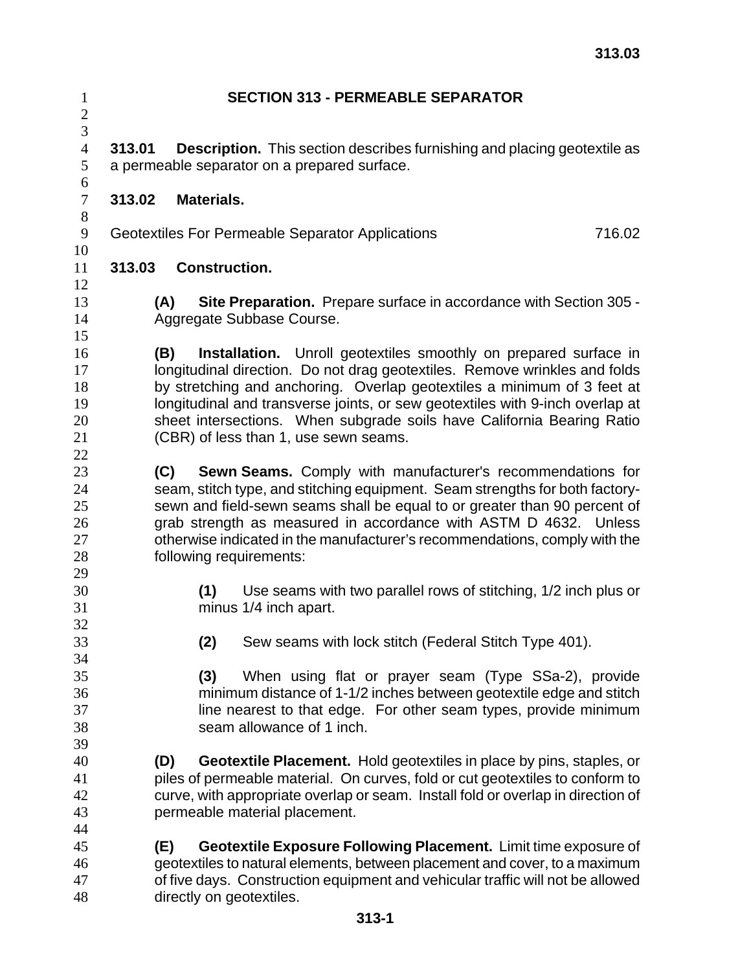| $\mathbf{1}$<br>$\overline{c}$         | <b>SECTION 313 - PERMEABLE SEPARATOR</b>                                                                                                                                                                                                                                                                                                                                                                    |                                                                                                                                                                                                                                                                                                                                                                                                                                      |  |
|----------------------------------------|-------------------------------------------------------------------------------------------------------------------------------------------------------------------------------------------------------------------------------------------------------------------------------------------------------------------------------------------------------------------------------------------------------------|--------------------------------------------------------------------------------------------------------------------------------------------------------------------------------------------------------------------------------------------------------------------------------------------------------------------------------------------------------------------------------------------------------------------------------------|--|
| 3<br>$\overline{4}$<br>5<br>6          | 313.01<br><b>Description.</b> This section describes furnishing and placing geotextile as<br>a permeable separator on a prepared surface.                                                                                                                                                                                                                                                                   |                                                                                                                                                                                                                                                                                                                                                                                                                                      |  |
| $\tau$<br>8                            | 313.02                                                                                                                                                                                                                                                                                                                                                                                                      | <b>Materials.</b>                                                                                                                                                                                                                                                                                                                                                                                                                    |  |
| 9                                      | 716.02<br>Geotextiles For Permeable Separator Applications                                                                                                                                                                                                                                                                                                                                                  |                                                                                                                                                                                                                                                                                                                                                                                                                                      |  |
| 10<br>11<br>12                         | 313.03                                                                                                                                                                                                                                                                                                                                                                                                      | <b>Construction.</b>                                                                                                                                                                                                                                                                                                                                                                                                                 |  |
| 13<br>14<br>15                         | (A)<br><b>Site Preparation.</b> Prepare surface in accordance with Section 305 -<br>Aggregate Subbase Course.                                                                                                                                                                                                                                                                                               |                                                                                                                                                                                                                                                                                                                                                                                                                                      |  |
| 16<br>17<br>18<br>19<br>20<br>21<br>22 | (B)                                                                                                                                                                                                                                                                                                                                                                                                         | <b>Installation.</b> Unroll geotextiles smoothly on prepared surface in<br>longitudinal direction. Do not drag geotextiles. Remove wrinkles and folds<br>by stretching and anchoring. Overlap geotextiles a minimum of 3 feet at<br>longitudinal and transverse joints, or sew geotextiles with 9-inch overlap at<br>sheet intersections. When subgrade soils have California Bearing Ratio<br>(CBR) of less than 1, use sewn seams. |  |
| 23<br>24<br>25<br>26<br>27<br>28<br>29 | Sewn Seams. Comply with manufacturer's recommendations for<br>(C)<br>seam, stitch type, and stitching equipment. Seam strengths for both factory-<br>sewn and field-sewn seams shall be equal to or greater than 90 percent of<br>grab strength as measured in accordance with ASTM D 4632. Unless<br>otherwise indicated in the manufacturer's recommendations, comply with the<br>following requirements: |                                                                                                                                                                                                                                                                                                                                                                                                                                      |  |
| 30<br>31<br>32                         |                                                                                                                                                                                                                                                                                                                                                                                                             | Use seams with two parallel rows of stitching, 1/2 inch plus or<br>(1)<br>minus 1/4 inch apart.                                                                                                                                                                                                                                                                                                                                      |  |
| 33<br>34                               |                                                                                                                                                                                                                                                                                                                                                                                                             | Sew seams with lock stitch (Federal Stitch Type 401).<br>(2)                                                                                                                                                                                                                                                                                                                                                                         |  |
| 35<br>36<br>37<br>38<br>39             | (3)<br>When using flat or prayer seam (Type SSa-2), provide<br>minimum distance of 1-1/2 inches between geotextile edge and stitch<br>line nearest to that edge. For other seam types, provide minimum<br>seam allowance of 1 inch.                                                                                                                                                                         |                                                                                                                                                                                                                                                                                                                                                                                                                                      |  |
| 40<br>41<br>42<br>43                   | (D)                                                                                                                                                                                                                                                                                                                                                                                                         | <b>Geotextile Placement.</b> Hold geotextiles in place by pins, staples, or<br>piles of permeable material. On curves, fold or cut geotextiles to conform to<br>curve, with appropriate overlap or seam. Install fold or overlap in direction of<br>permeable material placement.                                                                                                                                                    |  |
| 44<br>45<br>46<br>47<br>48             | (E)                                                                                                                                                                                                                                                                                                                                                                                                         | Geotextile Exposure Following Placement. Limit time exposure of<br>geotextiles to natural elements, between placement and cover, to a maximum<br>of five days. Construction equipment and vehicular traffic will not be allowed<br>directly on geotextiles.                                                                                                                                                                          |  |